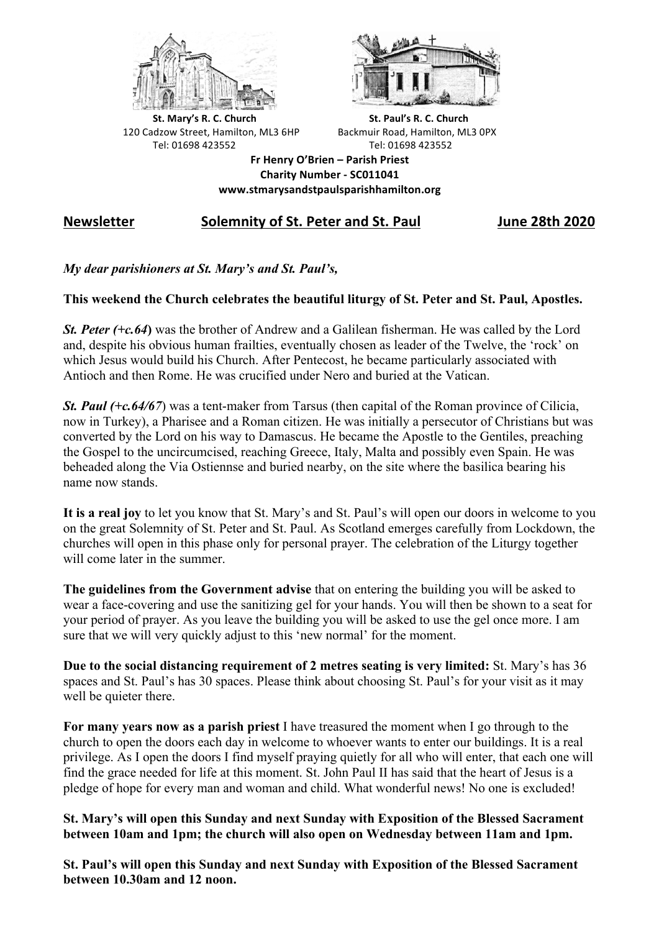



**St.** Mary's R. C. Church St. Paul's R. C. Church 120 Cadzow Street, Hamilton, ML3 6HP Backmuir Road, Hamilton, ML3 0PX Tel: 01698 423552 Tel: 01698 423552

**Fr Henry O'Brien – Parish Priest Charity Number - SC011041 www.stmarysandstpaulsparishhamilton.org**

## **Newsletter Solemnity of St. Peter and St. Paul June 28th 2020**

*My dear parishioners at St. Mary's and St. Paul's,*

## **This weekend the Church celebrates the beautiful liturgy of St. Peter and St. Paul, Apostles.**

*St. Peter (+c.64***)** was the brother of Andrew and a Galilean fisherman. He was called by the Lord and, despite his obvious human frailties, eventually chosen as leader of the Twelve, the 'rock' on which Jesus would build his Church. After Pentecost, he became particularly associated with Antioch and then Rome. He was crucified under Nero and buried at the Vatican.

*St. Paul (+c.64/67*) was a tent-maker from Tarsus (then capital of the Roman province of Cilicia, now in Turkey), a Pharisee and a Roman citizen. He was initially a persecutor of Christians but was converted by the Lord on his way to Damascus. He became the Apostle to the Gentiles, preaching the Gospel to the uncircumcised, reaching Greece, Italy, Malta and possibly even Spain. He was beheaded along the Via Ostiennse and buried nearby, on the site where the basilica bearing his name now stands.

**It is a real joy** to let you know that St. Mary's and St. Paul's will open our doors in welcome to you on the great Solemnity of St. Peter and St. Paul. As Scotland emerges carefully from Lockdown, the churches will open in this phase only for personal prayer. The celebration of the Liturgy together will come later in the summer.

**The guidelines from the Government advise** that on entering the building you will be asked to wear a face-covering and use the sanitizing gel for your hands. You will then be shown to a seat for your period of prayer. As you leave the building you will be asked to use the gel once more. I am sure that we will very quickly adjust to this 'new normal' for the moment.

**Due to the social distancing requirement of 2 metres seating is very limited:** St. Mary's has 36 spaces and St. Paul's has 30 spaces. Please think about choosing St. Paul's for your visit as it may well be quieter there.

**For many years now as a parish priest** I have treasured the moment when I go through to the church to open the doors each day in welcome to whoever wants to enter our buildings. It is a real privilege. As I open the doors I find myself praying quietly for all who will enter, that each one will find the grace needed for life at this moment. St. John Paul II has said that the heart of Jesus is a pledge of hope for every man and woman and child. What wonderful news! No one is excluded!

**St. Mary's will open this Sunday and next Sunday with Exposition of the Blessed Sacrament between 10am and 1pm; the church will also open on Wednesday between 11am and 1pm.**

**St. Paul's will open this Sunday and next Sunday with Exposition of the Blessed Sacrament between 10.30am and 12 noon.**